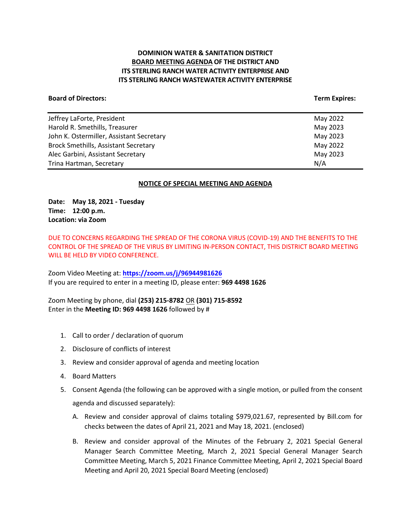# **DOMINION WATER & SANITATION DISTRICT BOARD MEETING AGENDA OF THE DISTRICT AND ITS STERLING RANCH WATER ACTIVITY ENTERPRISE AND ITS STERLING RANCH WASTEWATER ACTIVITY ENTERPRISE**

#### **Board of Directors: Term Expires:**

| Jeffrey LaForte, President                  | May 2022 |
|---------------------------------------------|----------|
| Harold R. Smethills, Treasurer              | May 2023 |
| John K. Ostermiller, Assistant Secretary    | May 2023 |
| <b>Brock Smethills, Assistant Secretary</b> | May 2022 |
| Alec Garbini, Assistant Secretary           | May 2023 |
| Trina Hartman, Secretary                    | N/A      |

#### **NOTICE OF SPECIAL MEETING AND AGENDA**

**Date: May 18, 2021 - Tuesday Time: 12:00 p.m. Location: via Zoom**

DUE TO CONCERNS REGARDING THE SPREAD OF THE CORONA VIRUS (COVID-19) AND THE BENEFITS TO THE CONTROL OF THE SPREAD OF THE VIRUS BY LIMITING IN-PERSON CONTACT, THIS DISTRICT BOARD MEETING WILL BE HELD BY VIDEO CONFERENCE.

Zoom Video Meeting at: **<https://zoom.us/j/96944981626>** If you are required to enter in a meeting ID, please enter: **969 4498 1626**

Zoom Meeting by phone, dial **(253) 215-8782** OR **(301) 715-8592** Enter in the **Meeting ID: 969 4498 1626** followed by #

- 1. Call to order / declaration of quorum
- 2. Disclosure of conflicts of interest
- 3. Review and consider approval of agenda and meeting location
- 4. Board Matters
- 5. Consent Agenda (the following can be approved with a single motion, or pulled from the consent agenda and discussed separately):
	- A. Review and consider approval of claims totaling \$979,021.67, represented by Bill.com for checks between the dates of April 21, 2021 and May 18, 2021. (enclosed)
	- B. Review and consider approval of the Minutes of the February 2, 2021 Special General Manager Search Committee Meeting, March 2, 2021 Special General Manager Search Committee Meeting, March 5, 2021 Finance Committee Meeting, April 2, 2021 Special Board Meeting and April 20, 2021 Special Board Meeting (enclosed)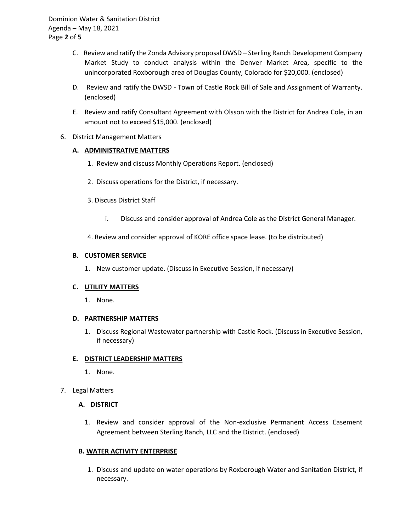Dominion Water & Sanitation District Agenda – May 18, 2021 Page **2** of **5**

- C. Review and ratify the Zonda Advisory proposal DWSD Sterling Ranch Development Company Market Study to conduct analysis within the Denver Market Area, specific to the unincorporated Roxborough area of Douglas County, Colorado for \$20,000. (enclosed)
- D. Review and ratify the DWSD Town of Castle Rock Bill of Sale and Assignment of Warranty. (enclosed)
- E. Review and ratify Consultant Agreement with Olsson with the District for Andrea Cole, in an amount not to exceed \$15,000. (enclosed)
- 6. District Management Matters

### **A. ADMINISTRATIVE MATTERS**

- 1. Review and discuss Monthly Operations Report. (enclosed)
- 2. Discuss operations for the District, if necessary.
- 3. Discuss District Staff
	- i. Discuss and consider approval of Andrea Cole as the District General Manager.
- 4. Review and consider approval of KORE office space lease. (to be distributed)

### **B. CUSTOMER SERVICE**

1. New customer update. (Discuss in Executive Session, if necessary)

#### **C. UTILITY MATTERS**

1. None.

#### **D. PARTNERSHIP MATTERS**

1. Discuss Regional Wastewater partnership with Castle Rock. (Discuss in Executive Session, if necessary)

## **E. DISTRICT LEADERSHIP MATTERS**

- 1. None.
- 7. Legal Matters

## **A. DISTRICT**

1. Review and consider approval of the Non-exclusive Permanent Access Easement Agreement between Sterling Ranch, LLC and the District. (enclosed)

## **B. WATER ACTIVITY ENTERPRISE**

1. Discuss and update on water operations by Roxborough Water and Sanitation District, if necessary.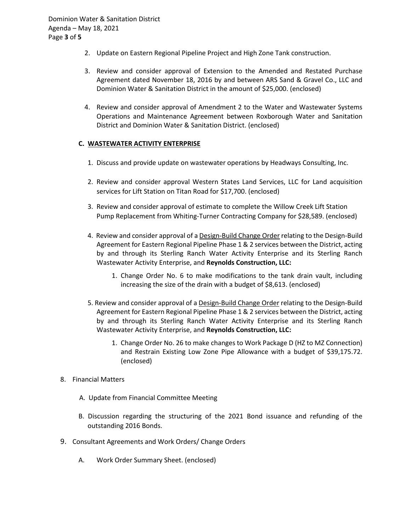- 2. Update on Eastern Regional Pipeline Project and High Zone Tank construction.
- 3. Review and consider approval of Extension to the Amended and Restated Purchase Agreement dated November 18, 2016 by and between ARS Sand & Gravel Co., LLC and Dominion Water & Sanitation District in the amount of \$25,000. (enclosed)
- 4. Review and consider approval of Amendment 2 to the Water and Wastewater Systems Operations and Maintenance Agreement between Roxborough Water and Sanitation District and Dominion Water & Sanitation District. (enclosed)

### **C. WASTEWATER ACTIVITY ENTERPRISE**

- 1. Discuss and provide update on wastewater operations by Headways Consulting, Inc.
- 2. Review and consider approval Western States Land Services, LLC for Land acquisition services for Lift Station on Titan Road for \$17,700. (enclosed)
- 3. Review and consider approval of estimate to complete the Willow Creek Lift Station Pump Replacement from Whiting-Turner Contracting Company for \$28,589. (enclosed)
- 4. Review and consider approval of a Design-Build Change Order relating to the Design-Build Agreement for Eastern Regional Pipeline Phase 1 & 2 services between the District, acting by and through its Sterling Ranch Water Activity Enterprise and its Sterling Ranch Wastewater Activity Enterprise, and **Reynolds Construction, LLC:** 
	- 1. Change Order No. 6 to make modifications to the tank drain vault, including increasing the size of the drain with a budget of \$8,613. (enclosed)
- 5. Review and consider approval of a Design-Build Change Order relating to the Design-Build Agreement for Eastern Regional Pipeline Phase 1 & 2 services between the District, acting by and through its Sterling Ranch Water Activity Enterprise and its Sterling Ranch Wastewater Activity Enterprise, and **Reynolds Construction, LLC:** 
	- 1. Change Order No. 26 to make changes to Work Package D (HZ to MZ Connection) and Restrain Existing Low Zone Pipe Allowance with a budget of \$39,175.72. (enclosed)
- 8. Financial Matters
	- A. Update from Financial Committee Meeting
	- B. Discussion regarding the structuring of the 2021 Bond issuance and refunding of the outstanding 2016 Bonds.
- 9. Consultant Agreements and Work Orders/ Change Orders
	- A. Work Order Summary Sheet. (enclosed)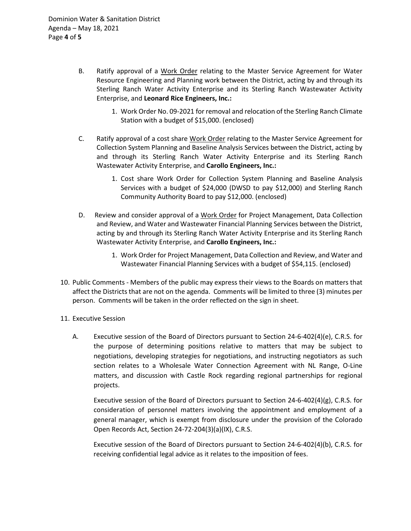- B. Ratify approval of a Work Order relating to the Master Service Agreement for Water Resource Engineering and Planning work between the District, acting by and through its Sterling Ranch Water Activity Enterprise and its Sterling Ranch Wastewater Activity Enterprise, and **Leonard Rice Engineers, Inc.:**
	- 1. Work Order No. 09-2021 for removal and relocation of the Sterling Ranch Climate Station with a budget of \$15,000. (enclosed)
- C. Ratify approval of a cost share Work Order relating to the Master Service Agreement for Collection System Planning and Baseline Analysis Services between the District, acting by and through its Sterling Ranch Water Activity Enterprise and its Sterling Ranch Wastewater Activity Enterprise, and **Carollo Engineers, Inc.:**
	- 1. Cost share Work Order for Collection System Planning and Baseline Analysis Services with a budget of \$24,000 (DWSD to pay \$12,000) and Sterling Ranch Community Authority Board to pay \$12,000. (enclosed)
- D. Review and consider approval of a Work Order for Project Management, Data Collection and Review, and Water and Wastewater Financial Planning Services between the District, acting by and through its Sterling Ranch Water Activity Enterprise and its Sterling Ranch Wastewater Activity Enterprise, and **Carollo Engineers, Inc.:**
	- 1. Work Order for Project Management, Data Collection and Review, and Water and Wastewater Financial Planning Services with a budget of \$54,115. (enclosed)
- 10. Public Comments Members of the public may express their views to the Boards on matters that affect the Districts that are not on the agenda. Comments will be limited to three (3) minutes per person. Comments will be taken in the order reflected on the sign in sheet.
- 11. Executive Session
	- A. Executive session of the Board of Directors pursuant to Section 24-6-402(4)(e), C.R.S. for the purpose of determining positions relative to matters that may be subject to negotiations, developing strategies for negotiations, and instructing negotiators as such section relates to a Wholesale Water Connection Agreement with NL Range, O-Line matters, and discussion with Castle Rock regarding regional partnerships for regional projects.

Executive session of the Board of Directors pursuant to Section 24-6-402(4)(g), C.R.S. for consideration of personnel matters involving the appointment and employment of a general manager, which is exempt from disclosure under the provision of the Colorado Open Records Act, Section 24-72-204(3)(a)(IX), C.R.S.

Executive session of the Board of Directors pursuant to Section 24-6-402(4)(b), C.R.S. for receiving confidential legal advice as it relates to the imposition of fees.